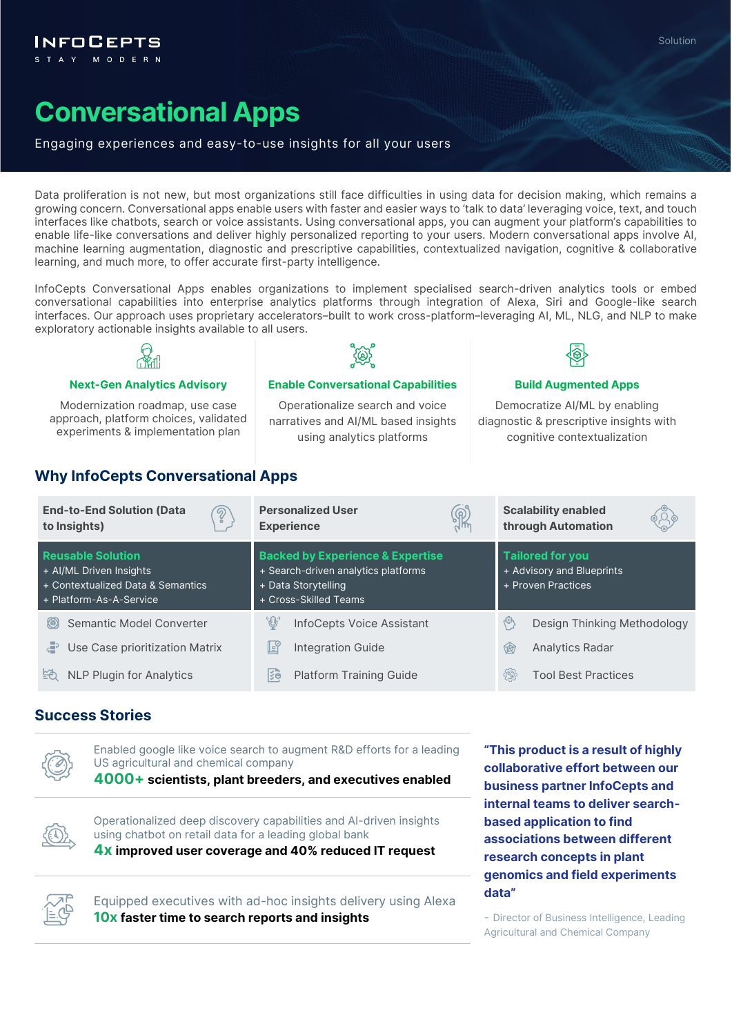

# **Conversational Apps**

#### Engaging experiences and easy-to-use insights for all your users

Data proliferation is not new, but most organizations still face difficulties in using data for decision making, which remains a growing concern. Conversational apps enable users with faster and easier ways to 'talk to data' leveraging voice, text, and touch interfaces like chatbots, search or voice assistants. Using conversational apps, you can augment your platform's capabilities to enable life-like conversations and deliver highly personalized reporting to your users. Modern conversational apps involve AI, machine learning augmentation, diagnostic and prescriptive capabilities, contextualized navigation, cognitive & collaborative learning, and much more, to offer accurate first-party intelligence.

InfoCepts Conversational Apps enables organizations to implement specialised search-driven analytics tools or embed conversational capabilities into enterprise analytics platforms through integration of Alexa, Siri and Google-like search interfaces. Our approach uses proprietary accelerators–built to work cross-platform–leveraging AI, ML, NLG, and NLP to make exploratory actionable insights available to all users.



**Next-Gen Analytics Advisory <b>Enable Conversational Capabilities Build Augmented Apps** 

Modernization roadmap, use case approach, platform choices, validated experiments & implementation plan

Operationalize search and voice narratives and AI/ML based insights using analytics platforms



Democratize AI/ML by enabling diagnostic & prescriptive insights with cognitive contextualization

### **Why InfoCepts Conversational Apps**

| <b>End-to-End Solution (Data</b><br><u>ඉ</u><br>to Insights)                                                        | <b>Personalized User</b><br>R<br><b>Experience</b>                                                                                 | <b>Scalability enabled</b><br>through Automation                           |
|---------------------------------------------------------------------------------------------------------------------|------------------------------------------------------------------------------------------------------------------------------------|----------------------------------------------------------------------------|
| <b>Reusable Solution</b><br>+ Al/ML Driven Insights<br>+ Contextualized Data & Semantics<br>+ Platform-As-A-Service | <b>Backed by Experience &amp; Expertise</b><br>+ Search-driven analytics platforms<br>+ Data Storytelling<br>+ Cross-Skilled Teams | <b>Tailored for you</b><br>+ Advisory and Blueprints<br>+ Proven Practices |
| Semantic Model Converter                                                                                            | '⊕                                                                                                                                 | أوجها                                                                      |
| (6)                                                                                                                 | InfoCepts Voice Assistant                                                                                                          | Design Thinking Methodology                                                |
| $5 - 3$                                                                                                             | Ŀĭ                                                                                                                                 | Analytics Radar                                                            |
| Use Case prioritization Matrix                                                                                      | <b>Integration Guide</b>                                                                                                           | 闵                                                                          |
| <b>NLP Plugin for Analytics</b>                                                                                     | kg                                                                                                                                 | {®}                                                                        |
| ĚĈ.                                                                                                                 | <b>Platform Training Guide</b>                                                                                                     | <b>Tool Best Practices</b>                                                 |

#### **Success Stories**



Enabled google like voice search to augment R&D efforts for a leading US agricultural and chemical company

**4000+ scientists, plant breeders, and executives enabled**



Operationalized deep discovery capabilities and AI-driven insights using chatbot on retail data for a leading global bank

**4x improved user coverage and 40% reduced IT request**



Equipped executives with ad-hoc insights delivery using Alexa **10x faster time to search reports and insights**

**"This product is a result of highly collaborative effort between our business partner InfoCepts and internal teams to deliver searchbased application to find associations between different research concepts in plant genomics and field experiments data"** 

- Director of Business Intelligence, Leading Agricultural and Chemical Company